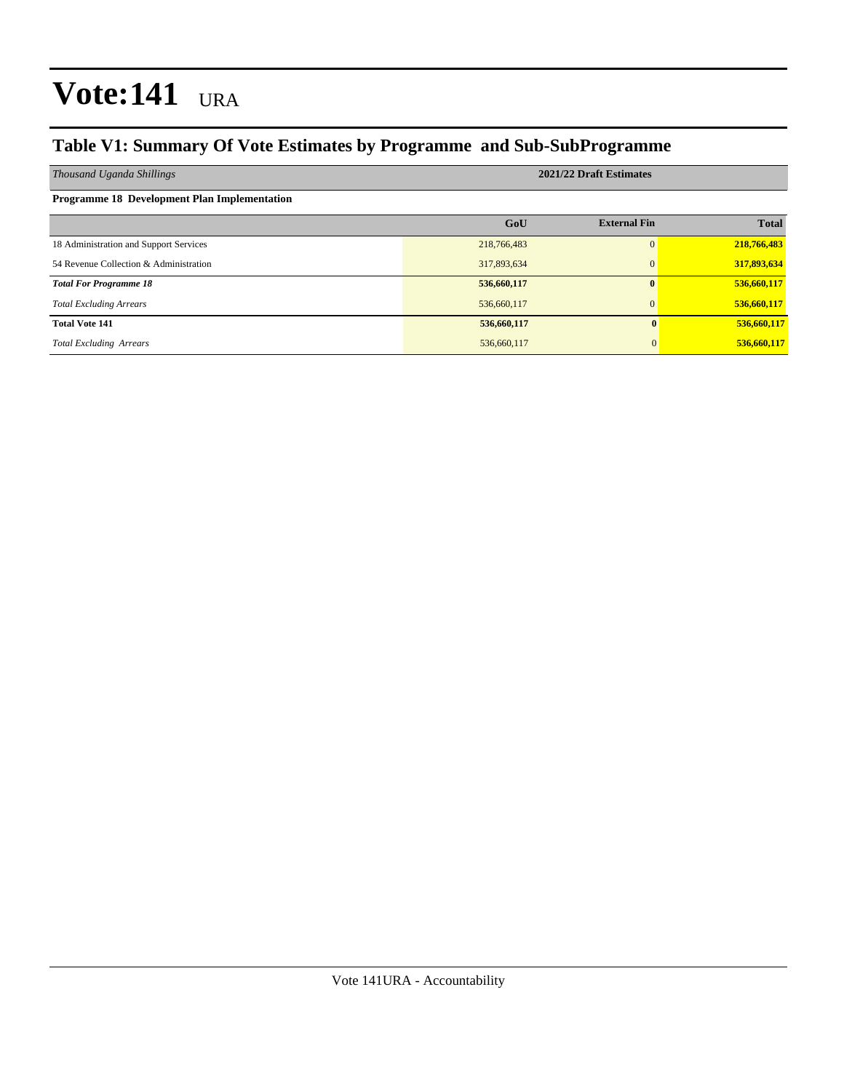### **Table V1: Summary Of Vote Estimates by Programme and Sub-SubProgramme**

| Thousand Uganda Shillings                    | 2021/22 Draft Estimates |                     |              |  |  |  |
|----------------------------------------------|-------------------------|---------------------|--------------|--|--|--|
| Programme 18 Development Plan Implementation |                         |                     |              |  |  |  |
|                                              | GoU                     | <b>External Fin</b> | <b>Total</b> |  |  |  |
| 18 Administration and Support Services       | 218,766,483             | $\Omega$            | 218,766,483  |  |  |  |
| 54 Revenue Collection & Administration       | 317,893,634             | $\Omega$            | 317,893,634  |  |  |  |
| <b>Total For Programme 18</b>                | 536,660,117             | $\mathbf{0}$        | 536,660,117  |  |  |  |
| <b>Total Excluding Arrears</b>               | 536,660,117             | $\Omega$            | 536,660,117  |  |  |  |
| <b>Total Vote 141</b>                        | 536,660,117             |                     | 536,660,117  |  |  |  |
| <b>Total Excluding Arrears</b>               | 536,660,117             |                     | 536,660,117  |  |  |  |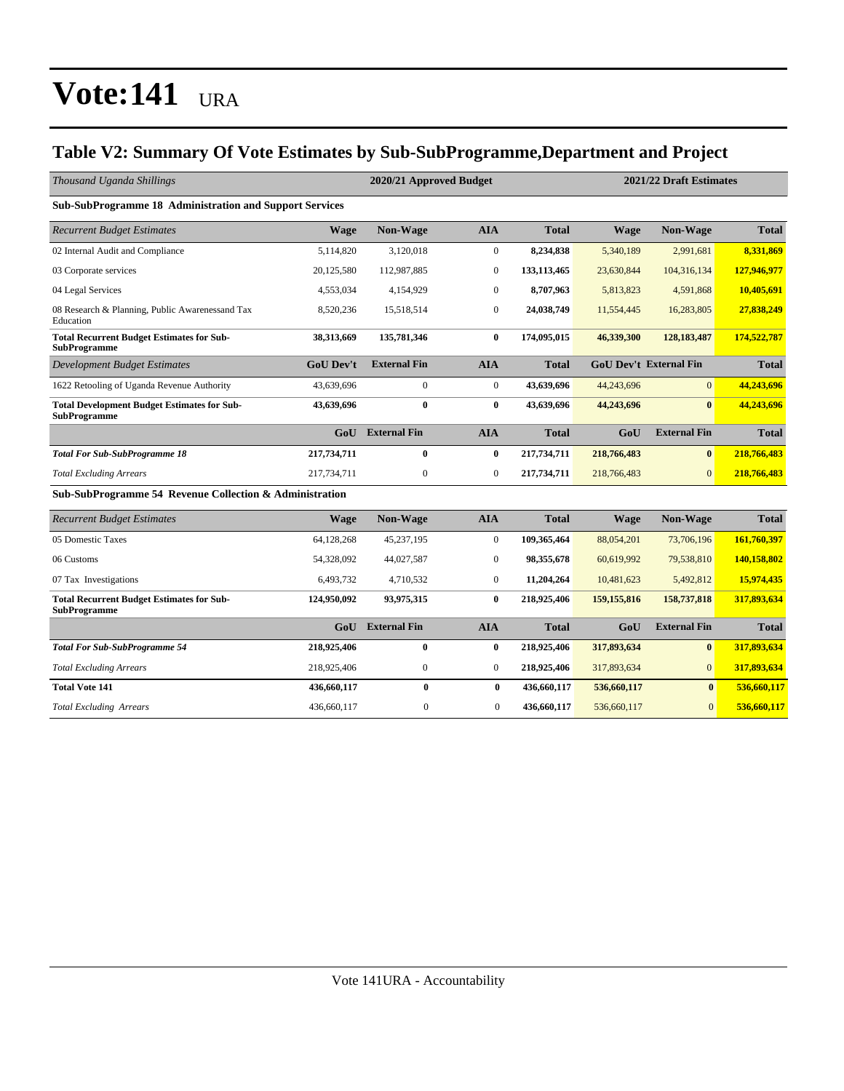### **Table V2: Summary Of Vote Estimates by Sub-SubProgramme,Department and Project**

| Thousand Uganda Shillings                                               |                  | 2020/21 Approved Budget |                  |              |               | 2021/22 Draft Estimates       |              |  |  |
|-------------------------------------------------------------------------|------------------|-------------------------|------------------|--------------|---------------|-------------------------------|--------------|--|--|
| Sub-SubProgramme 18 Administration and Support Services                 |                  |                         |                  |              |               |                               |              |  |  |
| <b>Recurrent Budget Estimates</b>                                       | Wage             | Non-Wage                | <b>AIA</b>       | <b>Total</b> | Wage          | Non-Wage                      | <b>Total</b> |  |  |
| 02 Internal Audit and Compliance                                        | 5,114,820        | 3,120,018               | $\Omega$         | 8,234,838    | 5,340,189     | 2,991,681                     | 8,331,869    |  |  |
| 03 Corporate services                                                   | 20,125,580       | 112,987,885             | $\mathbf{0}$     | 133,113,465  | 23,630,844    | 104,316,134                   | 127,946,977  |  |  |
| 04 Legal Services                                                       | 4,553,034        | 4,154,929               | $\mathbf{0}$     | 8,707,963    | 5,813,823     | 4,591,868                     | 10,405,691   |  |  |
| 08 Research & Planning, Public Awarenessand Tax<br>Education            | 8,520,236        | 15,518,514              | $\Omega$         | 24,038,749   | 11,554,445    | 16,283,805                    | 27,838,249   |  |  |
| <b>Total Recurrent Budget Estimates for Sub-</b><br>SubProgramme        | 38,313,669       | 135,781,346             | $\bf{0}$         | 174,095,015  | 46,339,300    | 128, 183, 487                 | 174,522,787  |  |  |
| <b>Development Budget Estimates</b>                                     | <b>GoU Dev't</b> | <b>External Fin</b>     | <b>AIA</b>       | <b>Total</b> |               | <b>GoU Dev't External Fin</b> | <b>Total</b> |  |  |
| 1622 Retooling of Uganda Revenue Authority                              | 43,639,696       | $\overline{0}$          | $\mathbf{0}$     | 43,639,696   | 44,243,696    | $\overline{0}$                | 44,243,696   |  |  |
| <b>Total Development Budget Estimates for Sub-</b><br>SubProgramme      | 43.639.696       | $\bf{0}$                | $\bf{0}$         | 43.639.696   | 44,243,696    | $\mathbf{0}$                  | 44,243,696   |  |  |
|                                                                         | GoU              | <b>External Fin</b>     | <b>AIA</b>       | <b>Total</b> | GoU           | <b>External Fin</b>           | <b>Total</b> |  |  |
| <b>Total For Sub-SubProgramme 18</b>                                    | 217,734,711      | $\bf{0}$                | $\bf{0}$         | 217,734,711  | 218,766,483   | $\mathbf{0}$                  | 218,766,483  |  |  |
| <b>Total Excluding Arrears</b>                                          | 217,734,711      | $\overline{0}$          | $\mathbf{0}$     | 217,734,711  | 218,766,483   | $\Omega$                      | 218,766,483  |  |  |
| Sub-SubProgramme 54 Revenue Collection & Administration                 |                  |                         |                  |              |               |                               |              |  |  |
| <b>Recurrent Budget Estimates</b>                                       | <b>Wage</b>      | Non-Wage                | <b>AIA</b>       | <b>Total</b> | <b>Wage</b>   | Non-Wage                      | <b>Total</b> |  |  |
| 05 Domestic Taxes                                                       | 64,128,268       | 45,237,195              | $\boldsymbol{0}$ | 109,365,464  | 88,054,201    | 73,706,196                    | 161,760,397  |  |  |
| 06 Customs                                                              | 54,328,092       | 44,027,587              | $\mathbf{0}$     | 98,355,678   | 60,619,992    | 79,538,810                    | 140,158,802  |  |  |
| 07 Tax Investigations                                                   | 6,493,732        | 4,710,532               | $\boldsymbol{0}$ | 11,204,264   | 10,481,623    | 5,492,812                     | 15,974,435   |  |  |
| <b>Total Recurrent Budget Estimates for Sub-</b><br><b>SubProgramme</b> | 124,950,092      | 93,975,315              | $\bf{0}$         | 218,925,406  | 159, 155, 816 | 158,737,818                   | 317,893,634  |  |  |
|                                                                         | GoU              | <b>External Fin</b>     | <b>AIA</b>       | <b>Total</b> | GoU           | <b>External Fin</b>           | <b>Total</b> |  |  |
| <b>Total For Sub-SubProgramme 54</b>                                    | 218,925,406      | $\bf{0}$                | $\bf{0}$         | 218,925,406  | 317,893,634   | $\bf{0}$                      | 317,893,634  |  |  |
| <b>Total Excluding Arrears</b>                                          | 218,925,406      | $\boldsymbol{0}$        | $\mathbf{0}$     | 218,925,406  | 317,893,634   | $\overline{0}$                | 317,893,634  |  |  |
| <b>Total Vote 141</b>                                                   | 436,660,117      | $\bf{0}$                | $\bf{0}$         | 436,660,117  | 536,660,117   | $\bf{0}$                      | 536,660,117  |  |  |
| <b>Total Excluding Arrears</b>                                          | 436,660,117      | $\boldsymbol{0}$        | $\overline{0}$   | 436,660,117  | 536,660,117   | $\mathbf{0}$                  | 536,660,117  |  |  |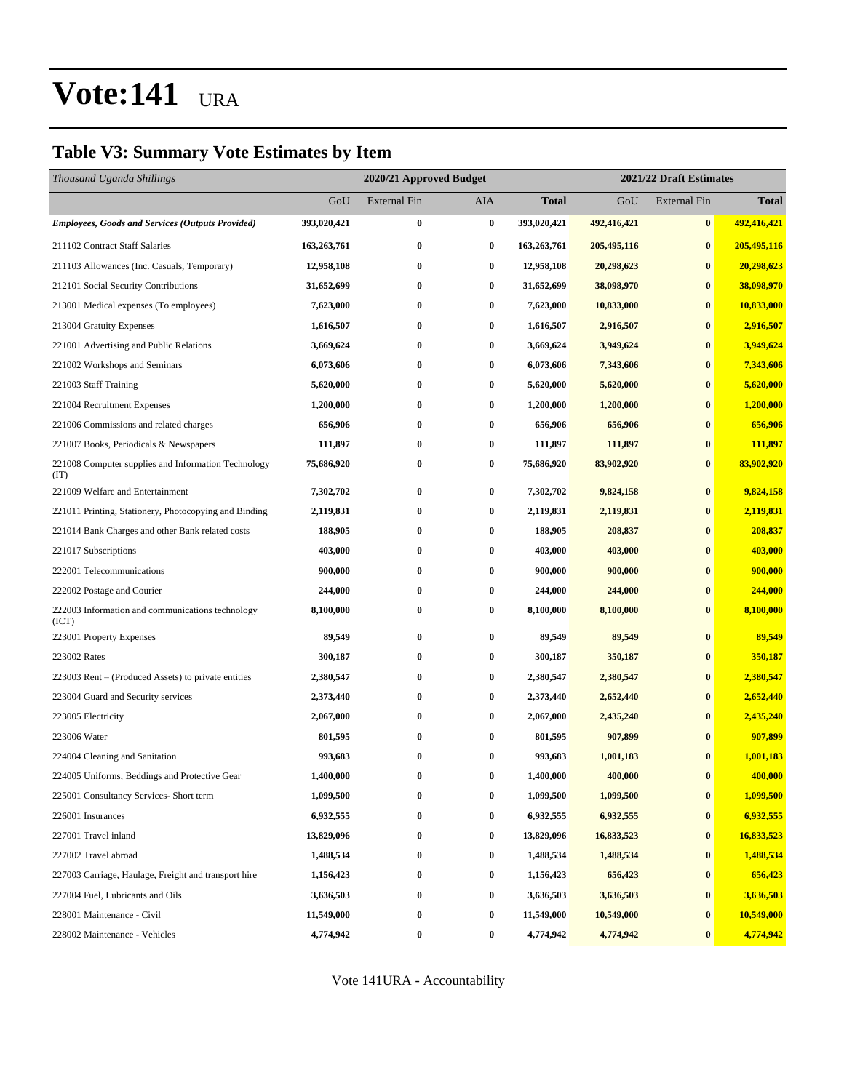### **Table V3: Summary Vote Estimates by Item**

| Thousand Uganda Shillings                                   |             | 2021/22 Draft Estimates<br>2020/21 Approved Budget |                  |             |             |                     |              |
|-------------------------------------------------------------|-------------|----------------------------------------------------|------------------|-------------|-------------|---------------------|--------------|
|                                                             | GoU         | <b>External Fin</b>                                | AIA              | Total       | GoU         | <b>External Fin</b> | <b>Total</b> |
| <b>Employees, Goods and Services (Outputs Provided)</b>     | 393,020,421 | $\bf{0}$                                           | $\bf{0}$         | 393,020,421 | 492,416,421 | $\bf{0}$            | 492,416,421  |
| 211102 Contract Staff Salaries                              | 163,263,761 | $\bf{0}$                                           | $\bf{0}$         | 163,263,761 | 205,495,116 | $\bf{0}$            | 205,495,116  |
| 211103 Allowances (Inc. Casuals, Temporary)                 | 12,958,108  | $\bf{0}$                                           | 0                | 12,958,108  | 20,298,623  | $\bf{0}$            | 20,298,623   |
| 212101 Social Security Contributions                        | 31,652,699  | $\bf{0}$                                           | $\bf{0}$         | 31,652,699  | 38,098,970  | $\bf{0}$            | 38,098,970   |
| 213001 Medical expenses (To employees)                      | 7,623,000   | 0                                                  | 0                | 7,623,000   | 10,833,000  | $\bf{0}$            | 10,833,000   |
| 213004 Gratuity Expenses                                    | 1,616,507   | $\bf{0}$                                           | $\bf{0}$         | 1,616,507   | 2,916,507   | $\bf{0}$            | 2,916,507    |
| 221001 Advertising and Public Relations                     | 3,669,624   | $\bf{0}$                                           | $\bf{0}$         | 3,669,624   | 3,949,624   | $\bf{0}$            | 3,949,624    |
| 221002 Workshops and Seminars                               | 6,073,606   | $\bf{0}$                                           | $\bf{0}$         | 6,073,606   | 7,343,606   | $\bf{0}$            | 7,343,606    |
| 221003 Staff Training                                       | 5,620,000   | $\bf{0}$                                           | $\bf{0}$         | 5,620,000   | 5,620,000   | $\bf{0}$            | 5,620,000    |
| 221004 Recruitment Expenses                                 | 1,200,000   | 0                                                  | $\bf{0}$         | 1,200,000   | 1,200,000   | $\bf{0}$            | 1,200,000    |
| 221006 Commissions and related charges                      | 656,906     | $\bf{0}$                                           | $\bf{0}$         | 656,906     | 656,906     | $\bf{0}$            | 656,906      |
| 221007 Books, Periodicals & Newspapers                      | 111,897     | $\bf{0}$                                           | $\bf{0}$         | 111,897     | 111,897     | $\bf{0}$            | 111,897      |
| 221008 Computer supplies and Information Technology<br>(TT) | 75,686,920  | $\bf{0}$                                           | 0                | 75,686,920  | 83,902,920  | $\bf{0}$            | 83,902,920   |
| 221009 Welfare and Entertainment                            | 7,302,702   | $\bf{0}$                                           | $\bf{0}$         | 7,302,702   | 9,824,158   | $\bf{0}$            | 9,824,158    |
| 221011 Printing, Stationery, Photocopying and Binding       | 2,119,831   | $\bf{0}$                                           | $\bf{0}$         | 2,119,831   | 2,119,831   | $\bf{0}$            | 2,119,831    |
| 221014 Bank Charges and other Bank related costs            | 188,905     | $\bf{0}$                                           | 0                | 188,905     | 208,837     | $\bf{0}$            | 208,837      |
| 221017 Subscriptions                                        | 403,000     | $\bf{0}$                                           | 0                | 403,000     | 403,000     | $\bf{0}$            | 403,000      |
| 222001 Telecommunications                                   | 900,000     | 0                                                  | $\bf{0}$         | 900,000     | 900,000     | $\bf{0}$            | 900,000      |
| 222002 Postage and Courier                                  | 244,000     | $\bf{0}$                                           | 0                | 244,000     | 244,000     | $\bf{0}$            | 244,000      |
| 222003 Information and communications technology<br>(ICT)   | 8,100,000   | $\bf{0}$                                           | $\bf{0}$         | 8,100,000   | 8,100,000   | $\bf{0}$            | 8,100,000    |
| 223001 Property Expenses                                    | 89,549      | $\bf{0}$                                           | $\bf{0}$         | 89,549      | 89,549      | $\bf{0}$            | 89,549       |
| 223002 Rates                                                | 300,187     | $\bf{0}$                                           | 0                | 300,187     | 350,187     | $\bf{0}$            | 350,187      |
| 223003 Rent – (Produced Assets) to private entities         | 2,380,547   | $\bf{0}$                                           | 0                | 2,380,547   | 2,380,547   | $\bf{0}$            | 2,380,547    |
| 223004 Guard and Security services                          | 2,373,440   | $\bf{0}$                                           | 0                | 2,373,440   | 2,652,440   | $\bf{0}$            | 2,652,440    |
| 223005 Electricity                                          | 2,067,000   | $\bf{0}$                                           | 0                | 2,067,000   | 2,435,240   | $\bf{0}$            | 2,435,240    |
| 223006 Water                                                | 801,595     | $\bf{0}$                                           | $\bf{0}$         | 801,595     | 907,899     | $\bf{0}$            | 907,899      |
| 224004 Cleaning and Sanitation                              | 993,683     | 0                                                  | $\bf{0}$         | 993,683     | 1,001,183   | $\bf{0}$            | 1,001,183    |
| 224005 Uniforms, Beddings and Protective Gear               | 1,400,000   | $\bf{0}$                                           | $\bf{0}$         | 1,400,000   | 400,000     | $\bf{0}$            | 400,000      |
| 225001 Consultancy Services- Short term                     | 1,099,500   | $\bf{0}$                                           | $\bf{0}$         | 1,099,500   | 1,099,500   | $\boldsymbol{0}$    | 1,099,500    |
| 226001 Insurances                                           | 6,932,555   | 0                                                  | $\boldsymbol{0}$ | 6,932,555   | 6,932,555   | $\bf{0}$            | 6,932,555    |
| 227001 Travel inland                                        | 13,829,096  | $\bf{0}$                                           | 0                | 13,829,096  | 16,833,523  | $\bf{0}$            | 16,833,523   |
| 227002 Travel abroad                                        | 1,488,534   | $\bf{0}$                                           | 0                | 1,488,534   | 1,488,534   | $\bf{0}$            | 1,488,534    |
| 227003 Carriage, Haulage, Freight and transport hire        | 1,156,423   | $\bf{0}$                                           | 0                | 1,156,423   | 656,423     | $\bf{0}$            | 656,423      |
| 227004 Fuel, Lubricants and Oils                            | 3,636,503   | $\bf{0}$                                           | $\bf{0}$         | 3,636,503   | 3,636,503   | $\bf{0}$            | 3,636,503    |
| 228001 Maintenance - Civil                                  | 11,549,000  | $\bf{0}$                                           | 0                | 11,549,000  | 10,549,000  | $\bf{0}$            | 10,549,000   |
| 228002 Maintenance - Vehicles                               | 4,774,942   | $\bf{0}$                                           | 0                | 4,774,942   | 4,774,942   | $\bf{0}$            | 4,774,942    |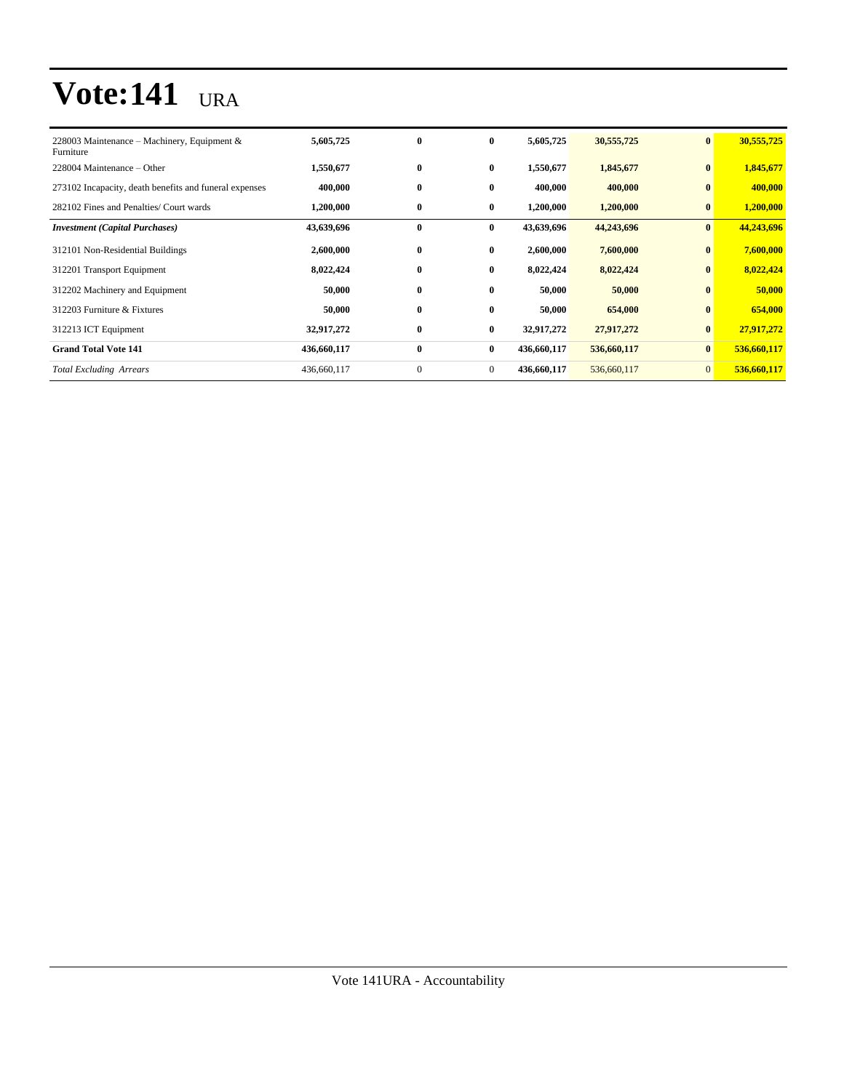| 228003 Maintenance – Machinery, Equipment &<br>Furniture | 5,605,725   | $\bf{0}$     | $\bf{0}$       | 5,605,725   | 30,555,725  | $\bf{0}$        | 30,555,725  |
|----------------------------------------------------------|-------------|--------------|----------------|-------------|-------------|-----------------|-------------|
| 228004 Maintenance – Other                               | 1,550,677   | $\bf{0}$     | $\bf{0}$       | 1,550,677   | 1,845,677   | $\bf{0}$        | 1,845,677   |
| 273102 Incapacity, death benefits and funeral expenses   | 400,000     | $\bf{0}$     | $\bf{0}$       | 400,000     | 400,000     | $\bf{0}$        | 400,000     |
| 282102 Fines and Penalties/ Court wards                  | 1,200,000   | $\bf{0}$     | $\bf{0}$       | 1,200,000   | 1,200,000   | $\bf{0}$        | 1,200,000   |
| <b>Investment (Capital Purchases)</b>                    | 43,639,696  | $\bf{0}$     | $\bf{0}$       | 43,639,696  | 44,243,696  | $\bf{0}$        | 44,243,696  |
| 312101 Non-Residential Buildings                         | 2,600,000   | $\bf{0}$     | $\bf{0}$       | 2,600,000   | 7,600,000   | $\bf{0}$        | 7,600,000   |
| 312201 Transport Equipment                               | 8,022,424   | $\bf{0}$     | $\bf{0}$       | 8,022,424   | 8,022,424   | $\bf{0}$        | 8,022,424   |
| 312202 Machinery and Equipment                           | 50,000      | $\bf{0}$     | $\bf{0}$       | 50,000      | 50,000      | $\bf{0}$        | 50,000      |
| 312203 Furniture & Fixtures                              | 50,000      | $\bf{0}$     | $\mathbf{0}$   | 50,000      | 654,000     | $\bf{0}$        | 654,000     |
| 312213 ICT Equipment                                     | 32,917,272  | $\bf{0}$     | $\bf{0}$       | 32,917,272  | 27,917,272  | $\bf{0}$        | 27,917,272  |
| <b>Grand Total Vote 141</b>                              | 436,660,117 | $\bf{0}$     | $\bf{0}$       | 436,660,117 | 536,660,117 | $\bf{0}$        | 536,660,117 |
| <b>Total Excluding Arrears</b>                           | 436,660,117 | $\mathbf{0}$ | $\overline{0}$ | 436,660,117 | 536,660,117 | $\vert 0 \vert$ | 536,660,117 |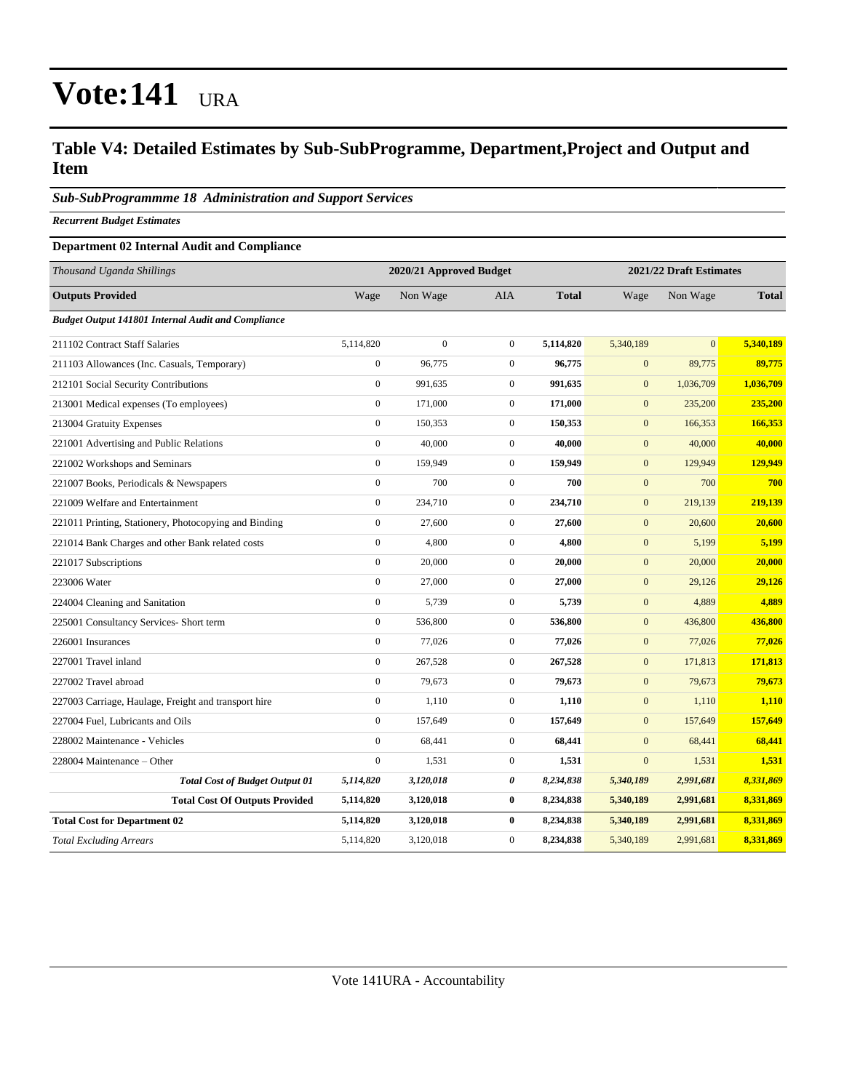### **Table V4: Detailed Estimates by Sub-SubProgramme, Department,Project and Output and Item**

#### *Sub-SubProgrammme 18 Administration and Support Services*

*Recurrent Budget Estimates*

#### **Department 02 Internal Audit and Compliance**

| Thousand Uganda Shillings                                 |                  | 2020/21 Approved Budget |                | 2021/22 Draft Estimates |                  |           |              |
|-----------------------------------------------------------|------------------|-------------------------|----------------|-------------------------|------------------|-----------|--------------|
| <b>Outputs Provided</b>                                   | Wage             | Non Wage                | <b>AIA</b>     | <b>Total</b>            | Wage             | Non Wage  | <b>Total</b> |
| <b>Budget Output 141801 Internal Audit and Compliance</b> |                  |                         |                |                         |                  |           |              |
| 211102 Contract Staff Salaries                            | 5,114,820        | $\mathbf{0}$            | $\overline{0}$ | 5,114,820               | 5,340,189        | $\Omega$  | 5.340.189    |
| 211103 Allowances (Inc. Casuals, Temporary)               | $\mathbf{0}$     | 96,775                  | $\overline{0}$ | 96,775                  | $\mathbf{0}$     | 89,775    | 89,775       |
| 212101 Social Security Contributions                      | $\mathbf{0}$     | 991,635                 | $\mathbf{0}$   | 991,635                 | $\mathbf{0}$     | 1,036,709 | 1,036,709    |
| 213001 Medical expenses (To employees)                    | $\mathbf{0}$     | 171,000                 | $\overline{0}$ | 171,000                 | $\mathbf{0}$     | 235,200   | 235,200      |
| 213004 Gratuity Expenses                                  | $\boldsymbol{0}$ | 150,353                 | $\overline{0}$ | 150,353                 | $\mathbf{0}$     | 166,353   | 166,353      |
| 221001 Advertising and Public Relations                   | $\boldsymbol{0}$ | 40,000                  | $\overline{0}$ | 40,000                  | $\mathbf{0}$     | 40,000    | 40,000       |
| 221002 Workshops and Seminars                             | $\mathbf{0}$     | 159,949                 | $\mathbf{0}$   | 159,949                 | $\mathbf{0}$     | 129,949   | 129,949      |
| 221007 Books, Periodicals & Newspapers                    | $\mathbf{0}$     | 700                     | $\overline{0}$ | 700                     | $\mathbf{0}$     | 700       | 700          |
| 221009 Welfare and Entertainment                          | $\boldsymbol{0}$ | 234,710                 | $\overline{0}$ | 234,710                 | $\mathbf{0}$     | 219,139   | 219,139      |
| 221011 Printing, Stationery, Photocopying and Binding     | $\boldsymbol{0}$ | 27,600                  | $\overline{0}$ | 27,600                  | $\mathbf{0}$     | 20,600    | 20,600       |
| 221014 Bank Charges and other Bank related costs          | $\mathbf{0}$     | 4,800                   | $\mathbf{0}$   | 4,800                   | $\mathbf{0}$     | 5,199     | 5,199        |
| 221017 Subscriptions                                      | $\mathbf{0}$     | 20,000                  | $\overline{0}$ | 20,000                  | $\mathbf{0}$     | 20,000    | 20,000       |
| 223006 Water                                              | $\mathbf{0}$     | 27,000                  | $\overline{0}$ | 27,000                  | $\boldsymbol{0}$ | 29,126    | 29,126       |
| 224004 Cleaning and Sanitation                            | $\boldsymbol{0}$ | 5,739                   | $\mathbf{0}$   | 5,739                   | $\mathbf{0}$     | 4,889     | 4,889        |
| 225001 Consultancy Services- Short term                   | $\mathbf{0}$     | 536,800                 | $\mathbf{0}$   | 536,800                 | $\mathbf{0}$     | 436,800   | 436,800      |
| 226001 Insurances                                         | $\mathbf{0}$     | 77,026                  | $\overline{0}$ | 77,026                  | $\mathbf{0}$     | 77,026    | 77,026       |
| 227001 Travel inland                                      | $\boldsymbol{0}$ | 267,528                 | $\overline{0}$ | 267,528                 | $\boldsymbol{0}$ | 171,813   | 171,813      |
| 227002 Travel abroad                                      | $\mathbf{0}$     | 79,673                  | $\overline{0}$ | 79,673                  | $\mathbf{0}$     | 79,673    | 79,673       |
| 227003 Carriage, Haulage, Freight and transport hire      | $\mathbf{0}$     | 1,110                   | $\overline{0}$ | 1,110                   | $\mathbf{0}$     | 1,110     | 1,110        |
| 227004 Fuel, Lubricants and Oils                          | $\mathbf{0}$     | 157,649                 | $\overline{0}$ | 157,649                 | $\mathbf{0}$     | 157,649   | 157,649      |
| 228002 Maintenance - Vehicles                             | $\mathbf{0}$     | 68,441                  | $\overline{0}$ | 68,441                  | $\mathbf{0}$     | 68,441    | 68,441       |
| 228004 Maintenance – Other                                | $\boldsymbol{0}$ | 1,531                   | $\mathbf{0}$   | 1,531                   | $\mathbf{0}$     | 1,531     | 1,531        |
| <b>Total Cost of Budget Output 01</b>                     | 5,114,820        | 3,120,018               | 0              | 8,234,838               | 5,340,189        | 2,991,681 | 8,331,869    |
| <b>Total Cost Of Outputs Provided</b>                     | 5,114,820        | 3,120,018               | $\bf{0}$       | 8,234,838               | 5,340,189        | 2,991,681 | 8,331,869    |
| <b>Total Cost for Department 02</b>                       | 5,114,820        | 3,120,018               | $\bf{0}$       | 8,234,838               | 5,340,189        | 2,991,681 | 8,331,869    |
| <b>Total Excluding Arrears</b>                            | 5,114,820        | 3,120,018               | $\mathbf{0}$   | 8,234,838               | 5,340,189        | 2,991,681 | 8,331,869    |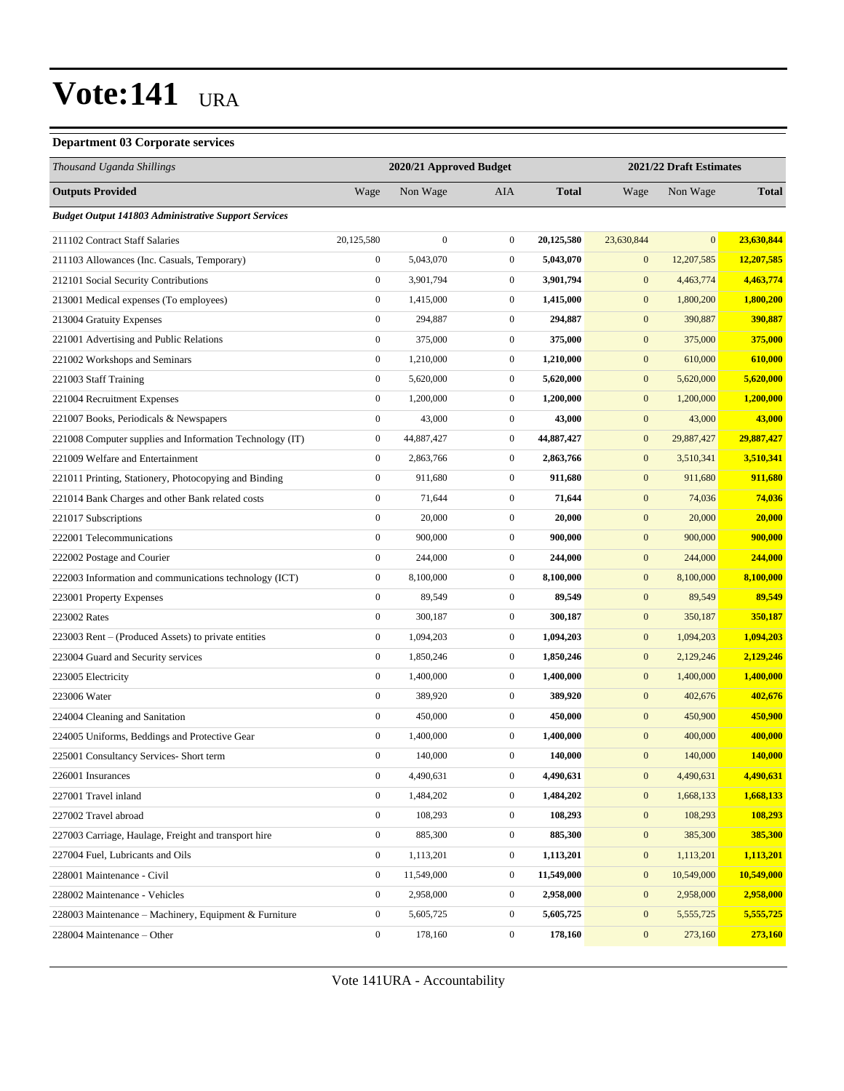#### **Department 03 Corporate services**

| Thousand Uganda Shillings                                   |                  | 2020/21 Approved Budget |                  |              | 2021/22 Draft Estimates |              |              |
|-------------------------------------------------------------|------------------|-------------------------|------------------|--------------|-------------------------|--------------|--------------|
| <b>Outputs Provided</b>                                     | Wage             | Non Wage                | AIA              | <b>Total</b> | Wage                    | Non Wage     | <b>Total</b> |
| <b>Budget Output 141803 Administrative Support Services</b> |                  |                         |                  |              |                         |              |              |
| 211102 Contract Staff Salaries                              | 20,125,580       | $\mathbf{0}$            | $\overline{0}$   | 20,125,580   | 23,630,844              | $\mathbf{0}$ | 23,630,844   |
| 211103 Allowances (Inc. Casuals, Temporary)                 | $\boldsymbol{0}$ | 5,043,070               | $\mathbf{0}$     | 5,043,070    | $\boldsymbol{0}$        | 12,207,585   | 12,207,585   |
| 212101 Social Security Contributions                        | $\boldsymbol{0}$ | 3,901,794               | $\mathbf{0}$     | 3,901,794    | $\boldsymbol{0}$        | 4,463,774    | 4,463,774    |
| 213001 Medical expenses (To employees)                      | $\boldsymbol{0}$ | 1,415,000               | $\boldsymbol{0}$ | 1,415,000    | $\mathbf{0}$            | 1,800,200    | 1,800,200    |
| 213004 Gratuity Expenses                                    | $\boldsymbol{0}$ | 294,887                 | $\mathbf{0}$     | 294,887      | $\mathbf{0}$            | 390,887      | 390,887      |
| 221001 Advertising and Public Relations                     | $\boldsymbol{0}$ | 375,000                 | $\mathbf{0}$     | 375,000      | $\mathbf{0}$            | 375,000      | 375,000      |
| 221002 Workshops and Seminars                               | $\boldsymbol{0}$ | 1,210,000               | $\mathbf{0}$     | 1,210,000    | $\boldsymbol{0}$        | 610,000      | 610,000      |
| 221003 Staff Training                                       | $\boldsymbol{0}$ | 5,620,000               | $\mathbf{0}$     | 5,620,000    | $\mathbf{0}$            | 5,620,000    | 5,620,000    |
| 221004 Recruitment Expenses                                 | $\boldsymbol{0}$ | 1,200,000               | $\boldsymbol{0}$ | 1,200,000    | $\mathbf{0}$            | 1,200,000    | 1,200,000    |
| 221007 Books, Periodicals & Newspapers                      | $\boldsymbol{0}$ | 43,000                  | $\boldsymbol{0}$ | 43,000       | $\mathbf{0}$            | 43,000       | 43,000       |
| 221008 Computer supplies and Information Technology (IT)    | $\boldsymbol{0}$ | 44,887,427              | $\mathbf{0}$     | 44,887,427   | $\mathbf{0}$            | 29,887,427   | 29,887,427   |
| 221009 Welfare and Entertainment                            | $\boldsymbol{0}$ | 2,863,766               | $\mathbf{0}$     | 2,863,766    | $\mathbf{0}$            | 3,510,341    | 3,510,341    |
| 221011 Printing, Stationery, Photocopying and Binding       | $\boldsymbol{0}$ | 911,680                 | $\mathbf{0}$     | 911,680      | $\boldsymbol{0}$        | 911,680      | 911,680      |
| 221014 Bank Charges and other Bank related costs            | $\boldsymbol{0}$ | 71,644                  | $\mathbf{0}$     | 71,644       | $\boldsymbol{0}$        | 74,036       | 74,036       |
| 221017 Subscriptions                                        | $\boldsymbol{0}$ | 20,000                  | $\mathbf{0}$     | 20,000       | $\mathbf{0}$            | 20,000       | 20,000       |
| 222001 Telecommunications                                   | $\boldsymbol{0}$ | 900,000                 | $\mathbf{0}$     | 900,000      | $\mathbf{0}$            | 900,000      | 900,000      |
| 222002 Postage and Courier                                  | $\boldsymbol{0}$ | 244,000                 | $\mathbf{0}$     | 244,000      | $\boldsymbol{0}$        | 244,000      | 244,000      |
| 222003 Information and communications technology (ICT)      | $\boldsymbol{0}$ | 8,100,000               | $\mathbf{0}$     | 8,100,000    | $\boldsymbol{0}$        | 8,100,000    | 8,100,000    |
| 223001 Property Expenses                                    | $\boldsymbol{0}$ | 89,549                  | $\mathbf{0}$     | 89,549       | $\mathbf{0}$            | 89,549       | 89,549       |
| 223002 Rates                                                | $\boldsymbol{0}$ | 300,187                 | $\mathbf{0}$     | 300,187      | $\mathbf{0}$            | 350,187      | 350,187      |
| 223003 Rent – (Produced Assets) to private entities         | $\boldsymbol{0}$ | 1,094,203               | $\mathbf{0}$     | 1,094,203    | $\mathbf{0}$            | 1,094,203    | 1,094,203    |
| 223004 Guard and Security services                          | $\boldsymbol{0}$ | 1,850,246               | $\mathbf{0}$     | 1,850,246    | $\boldsymbol{0}$        | 2,129,246    | 2,129,246    |
| 223005 Electricity                                          | $\boldsymbol{0}$ | 1,400,000               | $\mathbf{0}$     | 1,400,000    | $\boldsymbol{0}$        | 1,400,000    | 1,400,000    |
| 223006 Water                                                | $\boldsymbol{0}$ | 389,920                 | $\mathbf{0}$     | 389,920      | $\mathbf{0}$            | 402,676      | 402,676      |
| 224004 Cleaning and Sanitation                              | $\boldsymbol{0}$ | 450,000                 | $\mathbf{0}$     | 450,000      | $\boldsymbol{0}$        | 450,900      | 450,900      |
| 224005 Uniforms, Beddings and Protective Gear               | $\boldsymbol{0}$ | 1,400,000               | $\mathbf{0}$     | 1,400,000    | $\mathbf{0}$            | 400,000      | 400,000      |
| 225001 Consultancy Services- Short term                     | $\boldsymbol{0}$ | 140,000                 | $\overline{0}$   | 140,000      | $\mathbf{0}$            | 140,000      | 140,000      |
| 226001 Insurances                                           | $\boldsymbol{0}$ | 4,490,631               | $\boldsymbol{0}$ | 4,490,631    | $\boldsymbol{0}$        | 4,490,631    | 4,490,631    |
| 227001 Travel inland                                        | $\boldsymbol{0}$ | 1,484,202               | $\overline{0}$   | 1,484,202    | $\boldsymbol{0}$        | 1,668,133    | 1,668,133    |
| 227002 Travel abroad                                        | $\boldsymbol{0}$ | 108,293                 | $\boldsymbol{0}$ | 108,293      | $\mathbf{0}$            | 108,293      | 108,293      |
| 227003 Carriage, Haulage, Freight and transport hire        | $\mathbf{0}$     | 885,300                 | $\boldsymbol{0}$ | 885,300      | $\boldsymbol{0}$        | 385,300      | 385,300      |
| 227004 Fuel, Lubricants and Oils                            | $\boldsymbol{0}$ | 1,113,201               | $\boldsymbol{0}$ | 1,113,201    | $\boldsymbol{0}$        | 1,113,201    | 1,113,201    |
| 228001 Maintenance - Civil                                  | $\boldsymbol{0}$ | 11,549,000              | $\boldsymbol{0}$ | 11,549,000   | $\boldsymbol{0}$        | 10,549,000   | 10,549,000   |
| 228002 Maintenance - Vehicles                               | $\overline{0}$   | 2,958,000               | $\boldsymbol{0}$ | 2,958,000    | $\mathbf{0}$            | 2,958,000    | 2,958,000    |
| 228003 Maintenance - Machinery, Equipment & Furniture       | $\boldsymbol{0}$ | 5,605,725               | $\boldsymbol{0}$ | 5,605,725    | $\boldsymbol{0}$        | 5,555,725    | 5,555,725    |
| 228004 Maintenance - Other                                  | $\boldsymbol{0}$ | 178,160                 | $\boldsymbol{0}$ | 178,160      | $\mathbf{0}$            | 273,160      | 273,160      |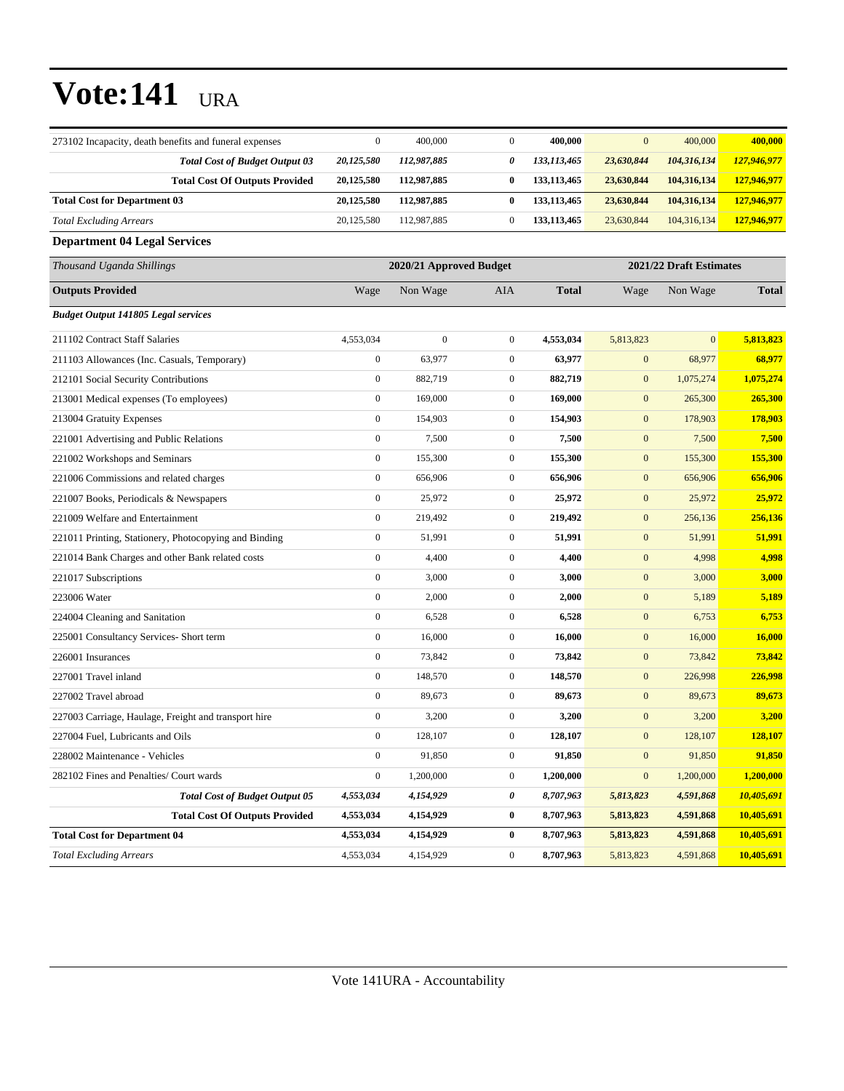| 273102 Incapacity, death benefits and funeral expenses | $\mathbf{0}$     | 400,000                 | $\boldsymbol{0}$ | 400,000       | $\boldsymbol{0}$ | 400,000                 | 400,000      |
|--------------------------------------------------------|------------------|-------------------------|------------------|---------------|------------------|-------------------------|--------------|
| <b>Total Cost of Budget Output 03</b>                  | 20,125,580       | 112,987,885             | 0                | 133,113,465   | 23,630,844       | 104,316,134             | 127,946,977  |
| <b>Total Cost Of Outputs Provided</b>                  | 20,125,580       | 112,987,885             | $\bf{0}$         | 133, 113, 465 | 23,630,844       | 104,316,134             | 127,946,977  |
| <b>Total Cost for Department 03</b>                    | 20,125,580       | 112,987,885             | 0                | 133, 113, 465 | 23,630,844       | 104,316,134             | 127,946,977  |
| <b>Total Excluding Arrears</b>                         | 20,125,580       | 112,987,885             | $\boldsymbol{0}$ | 133,113,465   | 23,630,844       | 104,316,134             | 127,946,977  |
| <b>Department 04 Legal Services</b>                    |                  |                         |                  |               |                  |                         |              |
| Thousand Uganda Shillings                              |                  | 2020/21 Approved Budget |                  |               |                  | 2021/22 Draft Estimates |              |
| <b>Outputs Provided</b>                                | Wage             | Non Wage                | AIA              | <b>Total</b>  | Wage             | Non Wage                | <b>Total</b> |
| <b>Budget Output 141805 Legal services</b>             |                  |                         |                  |               |                  |                         |              |
| 211102 Contract Staff Salaries                         | 4,553,034        | $\boldsymbol{0}$        | $\overline{0}$   | 4,553,034     | 5,813,823        | $\mathbf{0}$            | 5,813,823    |
| 211103 Allowances (Inc. Casuals, Temporary)            | $\boldsymbol{0}$ | 63,977                  | $\boldsymbol{0}$ | 63,977        | $\mathbf{0}$     | 68,977                  | 68,977       |
| 212101 Social Security Contributions                   | $\boldsymbol{0}$ | 882,719                 | $\mathbf{0}$     | 882,719       | $\mathbf{0}$     | 1,075,274               | 1,075,274    |
| 213001 Medical expenses (To employees)                 | $\boldsymbol{0}$ | 169,000                 | $\mathbf{0}$     | 169,000       | $\mathbf{0}$     | 265,300                 | 265,300      |
| 213004 Gratuity Expenses                               | $\boldsymbol{0}$ | 154,903                 | $\boldsymbol{0}$ | 154,903       | $\mathbf{0}$     | 178,903                 | 178,903      |
| 221001 Advertising and Public Relations                | $\boldsymbol{0}$ | 7,500                   | $\overline{0}$   | 7,500         | $\mathbf{0}$     | 7,500                   | 7,500        |
| 221002 Workshops and Seminars                          | $\boldsymbol{0}$ | 155,300                 | $\mathbf{0}$     | 155,300       | $\mathbf{0}$     | 155,300                 | 155,300      |
| 221006 Commissions and related charges                 | $\boldsymbol{0}$ | 656,906                 | $\boldsymbol{0}$ | 656,906       | $\mathbf{0}$     | 656,906                 | 656,906      |
| 221007 Books, Periodicals & Newspapers                 | $\boldsymbol{0}$ | 25,972                  | $\mathbf{0}$     | 25,972        | $\boldsymbol{0}$ | 25,972                  | 25,972       |
| 221009 Welfare and Entertainment                       | $\boldsymbol{0}$ | 219,492                 | $\boldsymbol{0}$ | 219,492       | $\mathbf{0}$     | 256,136                 | 256,136      |
| 221011 Printing, Stationery, Photocopying and Binding  | $\boldsymbol{0}$ | 51,991                  | $\boldsymbol{0}$ | 51,991        | $\boldsymbol{0}$ | 51,991                  | 51,991       |
| 221014 Bank Charges and other Bank related costs       | $\boldsymbol{0}$ | 4,400                   | $\mathbf{0}$     | 4,400         | $\mathbf{0}$     | 4,998                   | 4,998        |
| 221017 Subscriptions                                   | $\boldsymbol{0}$ | 3,000                   | $\mathbf{0}$     | 3,000         | $\mathbf{0}$     | 3,000                   | 3,000        |
| 223006 Water                                           | $\boldsymbol{0}$ | 2,000                   | $\mathbf{0}$     | 2,000         | $\boldsymbol{0}$ | 5,189                   | 5,189        |
| 224004 Cleaning and Sanitation                         | $\boldsymbol{0}$ | 6,528                   | $\boldsymbol{0}$ | 6,528         | $\mathbf{0}$     | 6,753                   | 6,753        |
| 225001 Consultancy Services- Short term                | $\boldsymbol{0}$ | 16,000                  | $\mathbf{0}$     | 16,000        | $\mathbf{0}$     | 16,000                  | 16,000       |
| 226001 Insurances                                      | $\boldsymbol{0}$ | 73,842                  | $\mathbf{0}$     | 73,842        | $\mathbf{0}$     | 73,842                  | 73,842       |
| 227001 Travel inland                                   | $\boldsymbol{0}$ | 148,570                 | $\boldsymbol{0}$ | 148,570       | $\mathbf{0}$     | 226,998                 | 226,998      |
| 227002 Travel abroad                                   | $\boldsymbol{0}$ | 89,673                  | $\mathbf{0}$     | 89,673        | $\mathbf{0}$     | 89,673                  | 89,673       |
| 227003 Carriage, Haulage, Freight and transport hire   | $\boldsymbol{0}$ | 3,200                   | $\boldsymbol{0}$ | 3,200         | $\mathbf{0}$     | 3,200                   | 3,200        |
| 227004 Fuel, Lubricants and Oils                       | $\boldsymbol{0}$ | 128,107                 | $\boldsymbol{0}$ | 128,107       | $\boldsymbol{0}$ | 128,107                 | 128,107      |
| 228002 Maintenance - Vehicles                          | $\boldsymbol{0}$ | 91,850                  | $\boldsymbol{0}$ | 91,850        | $\boldsymbol{0}$ | 91,850                  | 91,850       |
| 282102 Fines and Penalties/ Court wards                | $\boldsymbol{0}$ | 1,200,000               | $\boldsymbol{0}$ | 1,200,000     | $\mathbf{0}$     | 1,200,000               | 1,200,000    |
| <b>Total Cost of Budget Output 05</b>                  | 4,553,034        | 4,154,929               | 0                | 8,707,963     | 5,813,823        | 4,591,868               | 10,405,691   |
| <b>Total Cost Of Outputs Provided</b>                  | 4,553,034        | 4,154,929               | $\bf{0}$         | 8,707,963     | 5,813,823        | 4,591,868               | 10,405,691   |
| <b>Total Cost for Department 04</b>                    | 4,553,034        | 4,154,929               | $\bf{0}$         | 8,707,963     | 5,813,823        | 4,591,868               | 10,405,691   |
| <b>Total Excluding Arrears</b>                         | 4,553,034        | 4,154,929               | $\boldsymbol{0}$ | 8,707,963     | 5,813,823        | 4,591,868               | 10,405,691   |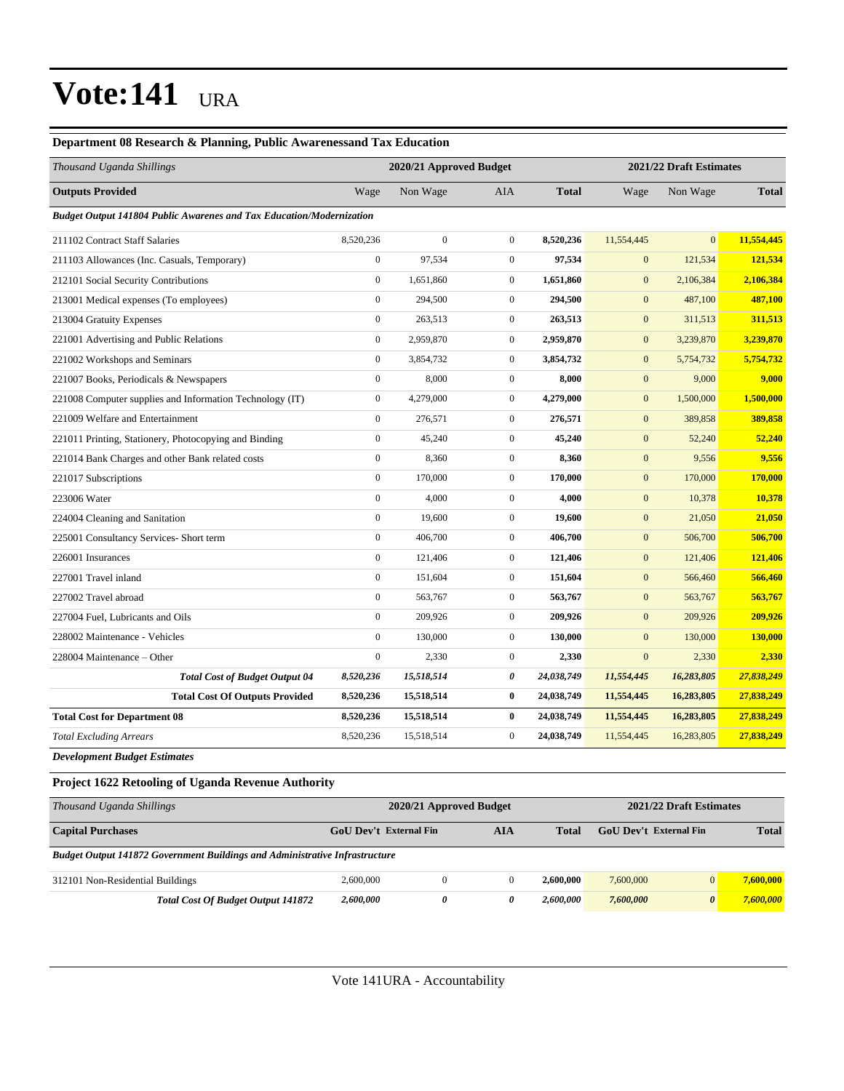#### **Department 08 Research & Planning, Public Awarenessand Tax Education**

| Thousand Uganda Shillings                                                   |                  | 2020/21 Approved Budget |                |              | 2021/22 Draft Estimates |              |              |
|-----------------------------------------------------------------------------|------------------|-------------------------|----------------|--------------|-------------------------|--------------|--------------|
| <b>Outputs Provided</b>                                                     | Wage             | Non Wage                | <b>AIA</b>     | <b>Total</b> | Wage                    | Non Wage     | <b>Total</b> |
| <b>Budget Output 141804 Public Awarenes and Tax Education/Modernization</b> |                  |                         |                |              |                         |              |              |
| 211102 Contract Staff Salaries                                              | 8,520,236        | $\boldsymbol{0}$        | $\overline{0}$ | 8,520,236    | 11,554,445              | $\mathbf{0}$ | 11,554,445   |
| 211103 Allowances (Inc. Casuals, Temporary)                                 | $\boldsymbol{0}$ | 97,534                  | $\mathbf{0}$   | 97,534       | $\mathbf{0}$            | 121,534      | 121,534      |
| 212101 Social Security Contributions                                        | $\mathbf{0}$     | 1,651,860               | $\overline{0}$ | 1,651,860    | $\mathbf{0}$            | 2,106,384    | 2,106,384    |
| 213001 Medical expenses (To employees)                                      | $\overline{0}$   | 294,500                 | $\overline{0}$ | 294,500      | $\mathbf{0}$            | 487,100      | 487,100      |
| 213004 Gratuity Expenses                                                    | $\overline{0}$   | 263,513                 | $\overline{0}$ | 263,513      | $\mathbf{0}$            | 311,513      | 311,513      |
| 221001 Advertising and Public Relations                                     | $\overline{0}$   | 2,959,870               | $\overline{0}$ | 2,959,870    | $\mathbf{0}$            | 3,239,870    | 3,239,870    |
| 221002 Workshops and Seminars                                               | $\boldsymbol{0}$ | 3,854,732               | $\mathbf{0}$   | 3,854,732    | $\mathbf{0}$            | 5,754,732    | 5,754,732    |
| 221007 Books, Periodicals & Newspapers                                      | $\boldsymbol{0}$ | 8,000                   | $\mathbf{0}$   | 8,000        | $\mathbf{0}$            | 9,000        | 9,000        |
| 221008 Computer supplies and Information Technology (IT)                    | $\overline{0}$   | 4,279,000               | $\overline{0}$ | 4,279,000    | $\mathbf{0}$            | 1,500,000    | 1,500,000    |
| 221009 Welfare and Entertainment                                            | $\overline{0}$   | 276,571                 | $\overline{0}$ | 276,571      | $\mathbf{0}$            | 389,858      | 389,858      |
| 221011 Printing, Stationery, Photocopying and Binding                       | $\overline{0}$   | 45,240                  | $\overline{0}$ | 45,240       | $\mathbf{0}$            | 52,240       | 52,240       |
| 221014 Bank Charges and other Bank related costs                            | $\mathbf{0}$     | 8,360                   | $\overline{0}$ | 8,360        | $\mathbf{0}$            | 9,556        | 9,556        |
| 221017 Subscriptions                                                        | $\boldsymbol{0}$ | 170,000                 | $\overline{0}$ | 170,000      | $\mathbf{0}$            | 170,000      | 170,000      |
| 223006 Water                                                                | $\boldsymbol{0}$ | 4,000                   | $\mathbf{0}$   | 4,000        | $\mathbf{0}$            | 10,378       | 10,378       |
| 224004 Cleaning and Sanitation                                              | $\overline{0}$   | 19,600                  | $\overline{0}$ | 19,600       | $\mathbf{0}$            | 21,050       | 21,050       |
| 225001 Consultancy Services- Short term                                     | $\overline{0}$   | 406,700                 | $\overline{0}$ | 406,700      | $\mathbf{0}$            | 506,700      | 506,700      |
| 226001 Insurances                                                           | $\overline{0}$   | 121,406                 | $\overline{0}$ | 121,406      | $\mathbf{0}$            | 121,406      | 121,406      |
| 227001 Travel inland                                                        | $\boldsymbol{0}$ | 151,604                 | $\overline{0}$ | 151,604      | $\mathbf{0}$            | 566,460      | 566,460      |
| 227002 Travel abroad                                                        | $\boldsymbol{0}$ | 563,767                 | $\overline{0}$ | 563,767      | $\mathbf{0}$            | 563,767      | 563,767      |
| 227004 Fuel, Lubricants and Oils                                            | $\overline{0}$   | 209,926                 | $\overline{0}$ | 209,926      | $\mathbf{0}$            | 209,926      | 209,926      |
| 228002 Maintenance - Vehicles                                               | $\boldsymbol{0}$ | 130,000                 | $\mathbf{0}$   | 130,000      | $\mathbf{0}$            | 130,000      | 130,000      |
| 228004 Maintenance - Other                                                  | $\overline{0}$   | 2,330                   | $\overline{0}$ | 2,330        | $\overline{0}$          | 2,330        | 2,330        |
| <b>Total Cost of Budget Output 04</b>                                       | 8,520,236        | 15,518,514              | 0              | 24,038,749   | 11,554,445              | 16,283,805   | 27,838,249   |
| <b>Total Cost Of Outputs Provided</b>                                       | 8,520,236        | 15,518,514              | $\bf{0}$       | 24,038,749   | 11,554,445              | 16,283,805   | 27,838,249   |
| <b>Total Cost for Department 08</b>                                         | 8,520,236        | 15,518,514              | $\bf{0}$       | 24,038,749   | 11,554,445              | 16,283,805   | 27,838,249   |
| <b>Total Excluding Arrears</b>                                              | 8,520,236        | 15,518,514              | $\mathbf{0}$   | 24,038,749   | 11,554,445              | 16,283,805   | 27,838,249   |
| Development Budget Estimates                                                |                  |                         |                |              |                         |              |              |

### **Project 1622 Retooling of Uganda Revenue Authority**

| Thousand Uganda Shillings                                                          | 2020/21 Approved Budget | 2021/22 Draft Estimates |     |           |                               |  |              |
|------------------------------------------------------------------------------------|-------------------------|-------------------------|-----|-----------|-------------------------------|--|--------------|
| <b>Capital Purchases</b>                                                           | GoU Dev't External Fin  |                         | AIA | Total     | <b>GoU</b> Dev't External Fin |  | <b>Total</b> |
| <b>Budget Output 141872 Government Buildings and Administrative Infrastructure</b> |                         |                         |     |           |                               |  |              |
| 312101 Non-Residential Buildings                                                   | 2,600,000               | 0                       |     | 2,600,000 | 7,600,000                     |  | 7,600,000    |
| <b>Total Cost Of Budget Output 141872</b>                                          | 2,600,000               | ŋ                       | 0   | 2,600,000 | 7,600,000                     |  | 7,600,000    |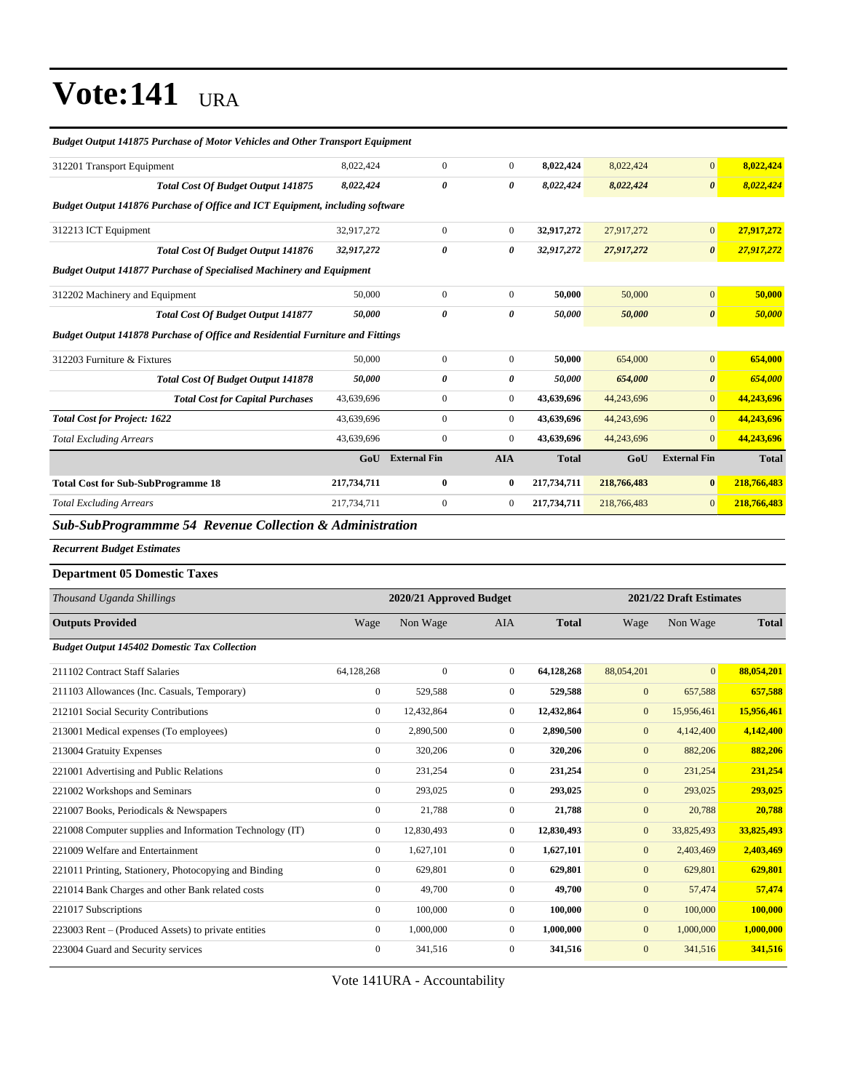| <b>Budget Output 141875 Purchase of Motor Vehicles and Other Transport Equipment</b>  |                  |                         |                  |              |                  |                         |              |
|---------------------------------------------------------------------------------------|------------------|-------------------------|------------------|--------------|------------------|-------------------------|--------------|
| 312201 Transport Equipment                                                            | 8,022,424        | $\mathbf{0}$            | $\overline{0}$   | 8,022,424    | 8,022,424        | $\boldsymbol{0}$        | 8,022,424    |
| <b>Total Cost Of Budget Output 141875</b>                                             | 8,022,424        | $\pmb{\theta}$          | 0                | 8,022,424    | 8,022,424        | $\boldsymbol{\theta}$   | 8,022,424    |
| <b>Budget Output 141876 Purchase of Office and ICT Equipment, including software</b>  |                  |                         |                  |              |                  |                         |              |
| 312213 ICT Equipment                                                                  | 32,917,272       | $\boldsymbol{0}$        | $\boldsymbol{0}$ | 32,917,272   | 27,917,272       | $\boldsymbol{0}$        | 27,917,272   |
| <b>Total Cost Of Budget Output 141876</b>                                             | 32,917,272       | 0                       | 0                | 32,917,272   | 27,917,272       | $\boldsymbol{\theta}$   | 27,917,272   |
| <b>Budget Output 141877 Purchase of Specialised Machinery and Equipment</b>           |                  |                         |                  |              |                  |                         |              |
| 312202 Machinery and Equipment                                                        | 50,000           | $\boldsymbol{0}$        | $\boldsymbol{0}$ | 50,000       | 50,000           | $\boldsymbol{0}$        | 50,000       |
| <b>Total Cost Of Budget Output 141877</b>                                             | 50,000           | 0                       | 0                | 50,000       | 50,000           | $\pmb{\theta}$          | 50,000       |
| <b>Budget Output 141878 Purchase of Office and Residential Furniture and Fittings</b> |                  |                         |                  |              |                  |                         |              |
| 312203 Furniture & Fixtures                                                           | 50,000           | $\boldsymbol{0}$        | $\boldsymbol{0}$ | 50,000       | 654,000          | $\mathbf{0}$            | 654,000      |
| <b>Total Cost Of Budget Output 141878</b>                                             | 50,000           | 0                       | 0                | 50,000       | 654,000          | $\pmb{\theta}$          | 654,000      |
| <b>Total Cost for Capital Purchases</b>                                               | 43,639,696       | $\boldsymbol{0}$        | $\boldsymbol{0}$ | 43,639,696   | 44,243,696       | $\mathbf{0}$            | 44,243,696   |
| <b>Total Cost for Project: 1622</b>                                                   | 43,639,696       | $\boldsymbol{0}$        | $\boldsymbol{0}$ | 43,639,696   | 44,243,696       | $\mathbf{0}$            | 44,243,696   |
| <b>Total Excluding Arrears</b>                                                        | 43,639,696       | $\boldsymbol{0}$        | $\boldsymbol{0}$ | 43,639,696   | 44,243,696       | $\mathbf{0}$            | 44,243,696   |
|                                                                                       | GoU              | <b>External Fin</b>     | <b>AIA</b>       | <b>Total</b> | GoU              | <b>External Fin</b>     | <b>Total</b> |
| <b>Total Cost for Sub-SubProgramme 18</b>                                             | 217,734,711      | $\bf{0}$                | $\bf{0}$         | 217,734,711  | 218,766,483      | $\bf{0}$                | 218,766,483  |
| <b>Total Excluding Arrears</b>                                                        | 217,734,711      | $\mathbf{0}$            | $\mathbf{0}$     | 217,734,711  | 218,766,483      | $\boldsymbol{0}$        | 218,766,483  |
| Sub-SubProgrammme 54 Revenue Collection & Administration                              |                  |                         |                  |              |                  |                         |              |
|                                                                                       |                  |                         |                  |              |                  |                         |              |
| <b>Recurrent Budget Estimates</b>                                                     |                  |                         |                  |              |                  |                         |              |
|                                                                                       |                  |                         |                  |              |                  |                         |              |
| <b>Department 05 Domestic Taxes</b>                                                   |                  |                         |                  |              |                  |                         |              |
| Thousand Uganda Shillings                                                             |                  | 2020/21 Approved Budget |                  |              |                  | 2021/22 Draft Estimates |              |
| <b>Outputs Provided</b>                                                               | Wage             | Non Wage                | AIA              | <b>Total</b> | Wage             | Non Wage                | <b>Total</b> |
| <b>Budget Output 145402 Domestic Tax Collection</b>                                   |                  |                         |                  |              |                  |                         |              |
| 211102 Contract Staff Salaries                                                        | 64,128,268       | $\mathbf{0}$            | $\mathbf{0}$     | 64,128,268   | 88,054,201       | $\overline{0}$          | 88,054,201   |
| 211103 Allowances (Inc. Casuals, Temporary)                                           | $\boldsymbol{0}$ | 529,588                 | $\mathbf{0}$     | 529,588      | $\boldsymbol{0}$ | 657,588                 | 657,588      |
| 212101 Social Security Contributions                                                  | $\boldsymbol{0}$ | 12,432,864              | $\mathbf{0}$     | 12,432,864   | $\boldsymbol{0}$ | 15,956,461              | 15,956,461   |
| 213001 Medical expenses (To employees)                                                | $\boldsymbol{0}$ | 2,890,500               | $\boldsymbol{0}$ | 2,890,500    | $\mathbf{0}$     | 4,142,400               | 4,142,400    |
| 213004 Gratuity Expenses                                                              | $\mathbf{0}$     | 320,206                 | $\mathbf{0}$     | 320,206      | $\mathbf{0}$     | 882,206                 | 882,206      |
| 221001 Advertising and Public Relations                                               | $\boldsymbol{0}$ | 231,254                 | $\boldsymbol{0}$ | 231,254      | $\boldsymbol{0}$ | 231,254                 | 231,254      |
| 221002 Workshops and Seminars                                                         | $\boldsymbol{0}$ | 293,025                 | $\boldsymbol{0}$ | 293,025      | $\boldsymbol{0}$ | 293,025                 | 293,025      |
| 221007 Books, Periodicals & Newspapers                                                | $\boldsymbol{0}$ | 21,788                  | $\boldsymbol{0}$ | 21,788       | $\boldsymbol{0}$ | 20,788                  | 20,788       |
| 221008 Computer supplies and Information Technology (IT)                              | $\boldsymbol{0}$ | 12,830,493              | $\boldsymbol{0}$ | 12,830,493   | $\boldsymbol{0}$ | 33,825,493              | 33,825,493   |
| 221009 Welfare and Entertainment                                                      | $\boldsymbol{0}$ | 1,627,101               | $\boldsymbol{0}$ | 1,627,101    | $\boldsymbol{0}$ | 2,403,469               | 2,403,469    |
| 221011 Printing, Stationery, Photocopying and Binding                                 | $\boldsymbol{0}$ | 629,801                 | $\boldsymbol{0}$ | 629,801      | $\boldsymbol{0}$ | 629,801                 | 629,801      |
| 221014 Bank Charges and other Bank related costs                                      | $\boldsymbol{0}$ | 49,700                  | $\boldsymbol{0}$ | 49,700       | $\boldsymbol{0}$ | 57,474                  | 57,474       |
| 221017 Subscriptions                                                                  | $\boldsymbol{0}$ | 100,000                 | $\boldsymbol{0}$ | 100,000      | $\boldsymbol{0}$ | 100,000                 | 100,000      |
| 223003 Rent - (Produced Assets) to private entities                                   | $\boldsymbol{0}$ | 1,000,000               | $\boldsymbol{0}$ | 1,000,000    | $\boldsymbol{0}$ | 1,000,000               | 1,000,000    |

Vote 141URA - Accountability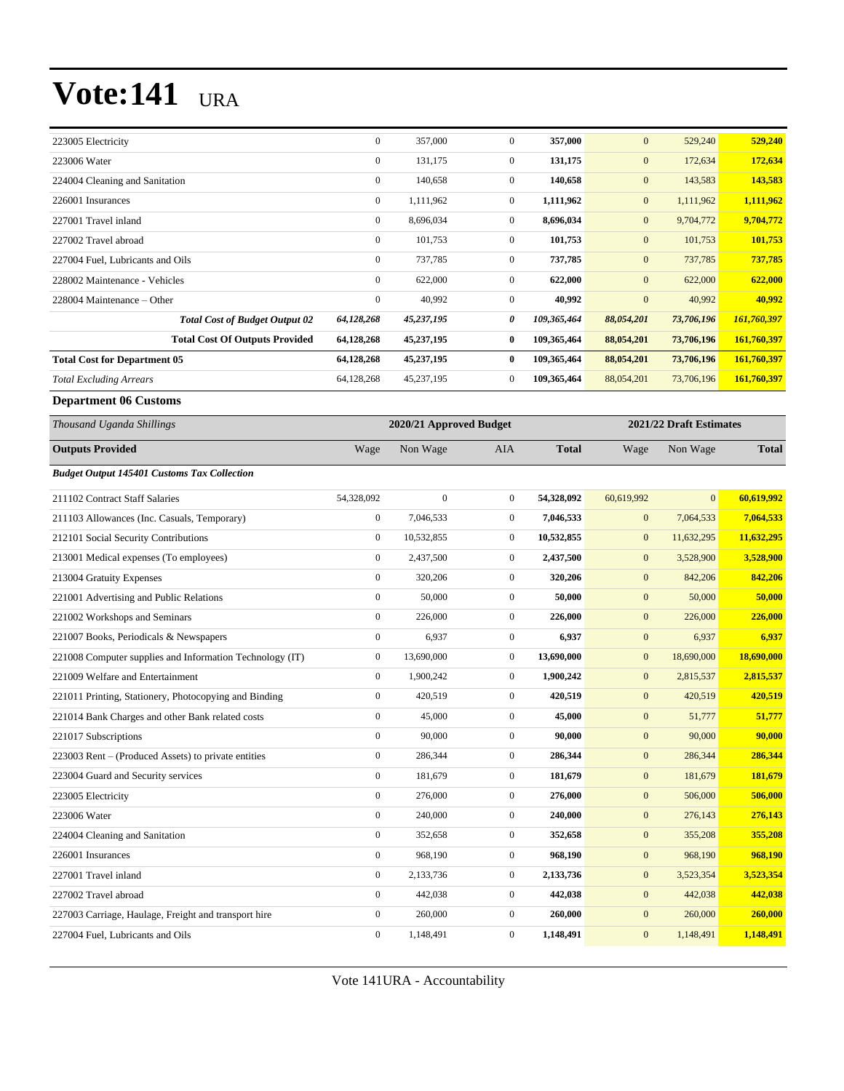| 223005 Electricity                                       | $\boldsymbol{0}$ | 357,000                 | $\boldsymbol{0}$ | 357,000      | $\mathbf{0}$     | 529,240                 | 529,240      |
|----------------------------------------------------------|------------------|-------------------------|------------------|--------------|------------------|-------------------------|--------------|
| 223006 Water                                             | $\boldsymbol{0}$ | 131,175                 | $\boldsymbol{0}$ | 131,175      | $\boldsymbol{0}$ | 172,634                 | 172,634      |
| 224004 Cleaning and Sanitation                           | $\boldsymbol{0}$ | 140,658                 | $\boldsymbol{0}$ | 140,658      | $\boldsymbol{0}$ | 143,583                 | 143,583      |
| 226001 Insurances                                        | $\boldsymbol{0}$ | 1,111,962               | $\boldsymbol{0}$ | 1,111,962    | $\boldsymbol{0}$ | 1,111,962               | 1,111,962    |
| 227001 Travel inland                                     | $\boldsymbol{0}$ | 8,696,034               | $\boldsymbol{0}$ | 8,696,034    | $\boldsymbol{0}$ | 9,704,772               | 9,704,772    |
| 227002 Travel abroad                                     | $\boldsymbol{0}$ | 101,753                 | $\boldsymbol{0}$ | 101,753      | $\boldsymbol{0}$ | 101,753                 | 101,753      |
| 227004 Fuel, Lubricants and Oils                         | $\boldsymbol{0}$ | 737,785                 | $\boldsymbol{0}$ | 737,785      | $\mathbf{0}$     | 737,785                 | 737,785      |
| 228002 Maintenance - Vehicles                            | $\boldsymbol{0}$ | 622,000                 | $\boldsymbol{0}$ | 622,000      | $\mathbf{0}$     | 622,000                 | 622,000      |
| 228004 Maintenance - Other                               | $\boldsymbol{0}$ | 40,992                  | $\boldsymbol{0}$ | 40,992       | $\boldsymbol{0}$ | 40,992                  | 40,992       |
| <b>Total Cost of Budget Output 02</b>                    | 64,128,268       | 45,237,195              | 0                | 109,365,464  | 88,054,201       | 73,706,196              | 161,760,397  |
| <b>Total Cost Of Outputs Provided</b>                    | 64,128,268       | 45,237,195              | $\boldsymbol{0}$ | 109,365,464  | 88,054,201       | 73,706,196              | 161,760,397  |
| <b>Total Cost for Department 05</b>                      | 64,128,268       | 45,237,195              | $\bf{0}$         | 109,365,464  | 88,054,201       | 73,706,196              | 161,760,397  |
| <b>Total Excluding Arrears</b>                           | 64,128,268       | 45,237,195              | $\boldsymbol{0}$ | 109,365,464  | 88,054,201       | 73,706,196              | 161,760,397  |
| <b>Department 06 Customs</b>                             |                  |                         |                  |              |                  |                         |              |
| Thousand Uganda Shillings                                |                  | 2020/21 Approved Budget |                  |              |                  | 2021/22 Draft Estimates |              |
| <b>Outputs Provided</b>                                  | Wage             | Non Wage                | AIA              | <b>Total</b> | Wage             | Non Wage                | <b>Total</b> |
| <b>Budget Output 145401 Customs Tax Collection</b>       |                  |                         |                  |              |                  |                         |              |
| 211102 Contract Staff Salaries                           | 54,328,092       | $\mathbf{0}$            | $\boldsymbol{0}$ | 54,328,092   | 60,619,992       | $\overline{0}$          | 60,619,992   |
| 211103 Allowances (Inc. Casuals, Temporary)              | $\boldsymbol{0}$ | 7,046,533               | $\boldsymbol{0}$ | 7,046,533    | $\boldsymbol{0}$ | 7,064,533               | 7,064,533    |
| 212101 Social Security Contributions                     | $\mathbf{0}$     | 10,532,855              | $\boldsymbol{0}$ | 10,532,855   | $\boldsymbol{0}$ | 11,632,295              | 11,632,295   |
| 213001 Medical expenses (To employees)                   | $\boldsymbol{0}$ | 2,437,500               | $\boldsymbol{0}$ | 2,437,500    | $\boldsymbol{0}$ | 3,528,900               | 3,528,900    |
| 213004 Gratuity Expenses                                 | $\boldsymbol{0}$ | 320,206                 | $\boldsymbol{0}$ | 320,206      | $\boldsymbol{0}$ | 842,206                 | 842,206      |
| 221001 Advertising and Public Relations                  | $\boldsymbol{0}$ | 50,000                  | $\boldsymbol{0}$ | 50,000       | $\boldsymbol{0}$ | 50,000                  | 50,000       |
| 221002 Workshops and Seminars                            | $\boldsymbol{0}$ | 226,000                 | $\boldsymbol{0}$ | 226,000      | $\boldsymbol{0}$ | 226,000                 | 226,000      |
| 221007 Books, Periodicals & Newspapers                   | $\boldsymbol{0}$ | 6,937                   | $\overline{0}$   | 6,937        | $\boldsymbol{0}$ | 6,937                   | 6,937        |
| 221008 Computer supplies and Information Technology (IT) | $\boldsymbol{0}$ | 13,690,000              | $\boldsymbol{0}$ | 13,690,000   | $\boldsymbol{0}$ | 18,690,000              | 18,690,000   |
| 221009 Welfare and Entertainment                         | $\boldsymbol{0}$ | 1,900,242               | $\boldsymbol{0}$ | 1,900,242    | $\boldsymbol{0}$ | 2,815,537               | 2,815,537    |
| 221011 Printing, Stationery, Photocopying and Binding    | $\boldsymbol{0}$ | 420,519                 | $\boldsymbol{0}$ | 420,519      | $\mathbf{0}$     | 420,519                 | 420,519      |
| 221014 Bank Charges and other Bank related costs         | $\boldsymbol{0}$ | 45,000                  | $\boldsymbol{0}$ | 45,000       | $\boldsymbol{0}$ | 51,777                  | 51,777       |
| 221017 Subscriptions                                     | $\mathbf{0}$     | 90,000                  | $\mathbf{0}$     | 90,000       | $\mathbf{0}$     | 90,000                  | 90,000       |
| 223003 Rent – (Produced Assets) to private entities      | $\boldsymbol{0}$ | 286,344                 | $\boldsymbol{0}$ | 286,344      | $\boldsymbol{0}$ | 286,344                 | 286,344      |
| 223004 Guard and Security services                       | $\boldsymbol{0}$ | 181,679                 | $\boldsymbol{0}$ | 181,679      | $\boldsymbol{0}$ | 181,679                 | 181,679      |
| 223005 Electricity                                       | $\boldsymbol{0}$ | 276,000                 | $\boldsymbol{0}$ | 276,000      | $\boldsymbol{0}$ | 506,000                 | 506,000      |
| 223006 Water                                             | $\boldsymbol{0}$ | 240,000                 | $\boldsymbol{0}$ | 240,000      | $\boldsymbol{0}$ | 276,143                 | 276,143      |
| 224004 Cleaning and Sanitation                           | $\boldsymbol{0}$ | 352,658                 | $\boldsymbol{0}$ | 352,658      | $\boldsymbol{0}$ | 355,208                 | 355,208      |
| 226001 Insurances                                        | $\boldsymbol{0}$ | 968,190                 | $\boldsymbol{0}$ | 968,190      | $\boldsymbol{0}$ | 968,190                 | 968,190      |
| 227001 Travel inland                                     | $\boldsymbol{0}$ | 2,133,736               | $\boldsymbol{0}$ | 2,133,736    | $\boldsymbol{0}$ | 3,523,354               | 3,523,354    |
| 227002 Travel abroad                                     | $\mathbf{0}$     | 442,038                 | $\boldsymbol{0}$ | 442,038      | $\boldsymbol{0}$ | 442,038                 | 442,038      |
| 227003 Carriage, Haulage, Freight and transport hire     | $\boldsymbol{0}$ | 260,000                 | $\boldsymbol{0}$ | 260,000      | $\boldsymbol{0}$ | 260,000                 | 260,000      |
| 227004 Fuel, Lubricants and Oils                         | $\boldsymbol{0}$ | 1,148,491               | $\boldsymbol{0}$ | 1,148,491    | $\boldsymbol{0}$ | 1,148,491               | 1,148,491    |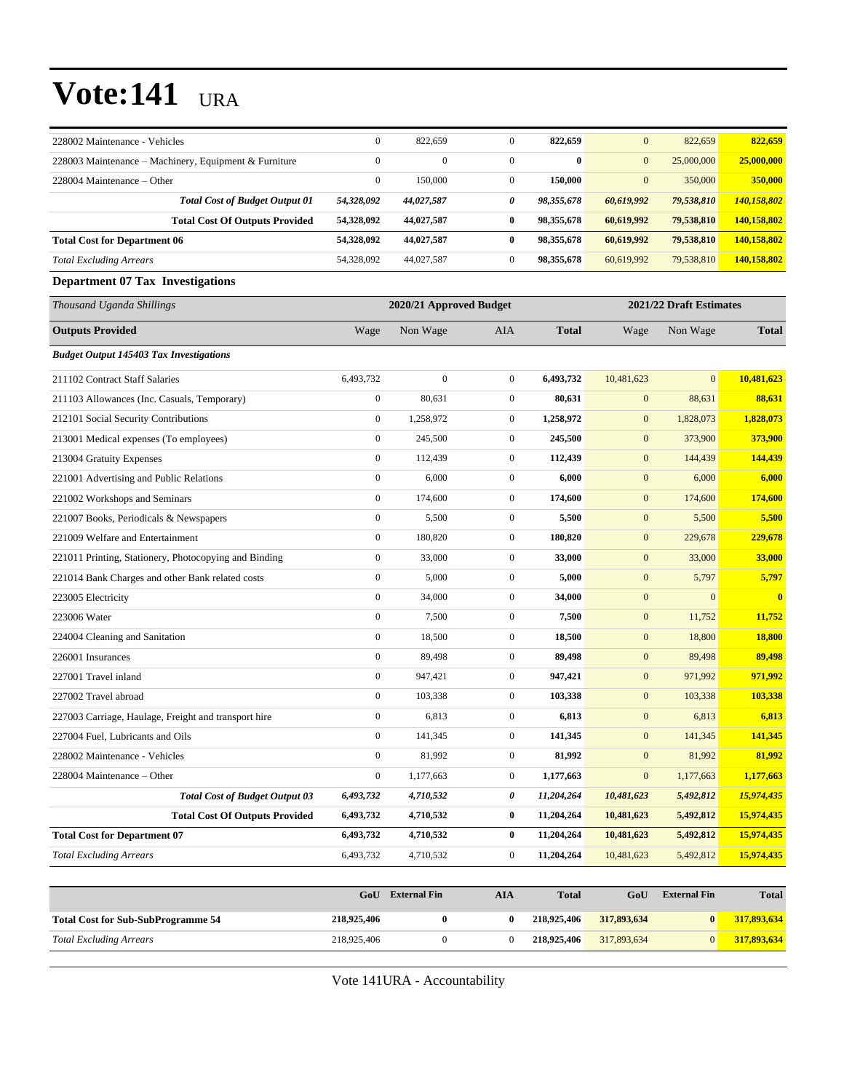| 228002 Maintenance - Vehicles                         | $\boldsymbol{0}$ | 822,659                 | $\mathbf{0}$     | 822,659      | $\mathbf{0}$            | 822,659             | 822,659      |
|-------------------------------------------------------|------------------|-------------------------|------------------|--------------|-------------------------|---------------------|--------------|
| 228003 Maintenance – Machinery, Equipment & Furniture | $\mathbf{0}$     | $\Omega$                | $\mathbf{0}$     | $\mathbf{0}$ | $\mathbf{0}$            | 25,000,000          | 25,000,000   |
| 228004 Maintenance – Other                            | $\boldsymbol{0}$ | 150,000                 | $\mathbf{0}$     | 150,000      | $\mathbf{0}$            | 350,000             | 350,000      |
| <b>Total Cost of Budget Output 01</b>                 | 54,328,092       | 44,027,587              | 0                | 98,355,678   | 60,619,992              | 79,538,810          | 140,158,802  |
| <b>Total Cost Of Outputs Provided</b>                 | 54,328,092       | 44,027,587              | $\bf{0}$         | 98,355,678   | 60,619,992              | 79,538,810          | 140,158,802  |
| <b>Total Cost for Department 06</b>                   | 54,328,092       | 44,027,587              | $\bf{0}$         | 98,355,678   | 60,619,992              | 79,538,810          | 140,158,802  |
| <b>Total Excluding Arrears</b>                        | 54,328,092       | 44,027,587              | $\mathbf{0}$     | 98,355,678   | 60,619,992              | 79,538,810          | 140,158,802  |
| <b>Department 07 Tax Investigations</b>               |                  |                         |                  |              |                         |                     |              |
| Thousand Uganda Shillings                             |                  | 2020/21 Approved Budget |                  |              | 2021/22 Draft Estimates |                     |              |
| <b>Outputs Provided</b>                               | Wage             | Non Wage                | AIA              | <b>Total</b> | Wage                    | Non Wage            | <b>Total</b> |
| <b>Budget Output 145403 Tax Investigations</b>        |                  |                         |                  |              |                         |                     |              |
| 211102 Contract Staff Salaries                        | 6,493,732        | $\mathbf{0}$            | $\mathbf{0}$     | 6,493,732    | 10,481,623              | $\mathbf{0}$        | 10,481,623   |
| 211103 Allowances (Inc. Casuals, Temporary)           | $\boldsymbol{0}$ | 80,631                  | $\mathbf{0}$     | 80,631       | $\mathbf{0}$            | 88,631              | 88,631       |
| 212101 Social Security Contributions                  | $\boldsymbol{0}$ | 1,258,972               | $\mathbf{0}$     | 1,258,972    | $\boldsymbol{0}$        | 1,828,073           | 1,828,073    |
| 213001 Medical expenses (To employees)                | $\boldsymbol{0}$ | 245,500                 | $\mathbf{0}$     | 245,500      | $\mathbf{0}$            | 373,900             | 373,900      |
| 213004 Gratuity Expenses                              | $\boldsymbol{0}$ | 112,439                 | $\mathbf{0}$     | 112,439      | $\mathbf{0}$            | 144,439             | 144,439      |
| 221001 Advertising and Public Relations               | $\boldsymbol{0}$ | 6,000                   | $\mathbf{0}$     | 6,000        | $\boldsymbol{0}$        | 6,000               | 6,000        |
| 221002 Workshops and Seminars                         | $\boldsymbol{0}$ | 174,600                 | $\mathbf{0}$     | 174,600      | $\mathbf{0}$            | 174,600             | 174,600      |
| 221007 Books, Periodicals & Newspapers                | $\boldsymbol{0}$ | 5,500                   | $\mathbf{0}$     | 5,500        | $\boldsymbol{0}$        | 5,500               | 5,500        |
| 221009 Welfare and Entertainment                      | $\boldsymbol{0}$ | 180,820                 | $\mathbf{0}$     | 180,820      | $\mathbf{0}$            | 229,678             | 229,678      |
| 221011 Printing, Stationery, Photocopying and Binding | $\boldsymbol{0}$ | 33,000                  | $\mathbf{0}$     | 33,000       | $\mathbf{0}$            | 33,000              | 33,000       |
| 221014 Bank Charges and other Bank related costs      | $\boldsymbol{0}$ | 5,000                   | $\boldsymbol{0}$ | 5,000        | $\boldsymbol{0}$        | 5,797               | 5,797        |
| 223005 Electricity                                    | $\boldsymbol{0}$ | 34,000                  | $\mathbf{0}$     | 34,000       | $\boldsymbol{0}$        | $\mathbf{0}$        | $\bf{0}$     |
| 223006 Water                                          | $\boldsymbol{0}$ | 7,500                   | $\boldsymbol{0}$ | 7,500        | $\boldsymbol{0}$        | 11,752              | 11,752       |
| 224004 Cleaning and Sanitation                        | $\boldsymbol{0}$ | 18,500                  | $\mathbf{0}$     | 18,500       | $\boldsymbol{0}$        | 18,800              | 18,800       |
| 226001 Insurances                                     | $\boldsymbol{0}$ | 89,498                  | $\mathbf{0}$     | 89,498       | $\mathbf{0}$            | 89,498              | 89,498       |
| 227001 Travel inland                                  | $\boldsymbol{0}$ | 947,421                 | $\mathbf{0}$     | 947,421      | $\boldsymbol{0}$        | 971,992             | 971,992      |
| 227002 Travel abroad                                  | $\boldsymbol{0}$ | 103,338                 | $\mathbf{0}$     | 103,338      | $\boldsymbol{0}$        | 103,338             | 103,338      |
| 227003 Carriage, Haulage, Freight and transport hire  | $\boldsymbol{0}$ | 6,813                   | $\mathbf{0}$     | 6,813        | $\boldsymbol{0}$        | 6,813               | 6,813        |
| 227004 Fuel, Lubricants and Oils                      | $\boldsymbol{0}$ | 141,345                 | $\mathbf{0}$     | 141,345      | $\mathbf{0}$            | 141,345             | 141,345      |
| 228002 Maintenance - Vehicles                         | $\boldsymbol{0}$ | 81,992                  | $\boldsymbol{0}$ | 81,992       | $\mathbf{0}$            | 81,992              | 81,992       |
| 228004 Maintenance - Other                            | $\boldsymbol{0}$ | 1,177,663               | $\boldsymbol{0}$ | 1,177,663    | $\boldsymbol{0}$        | 1,177,663           | 1,177,663    |
| <b>Total Cost of Budget Output 03</b>                 | 6,493,732        | 4,710,532               | 0                | 11,204,264   | 10,481,623              | 5,492,812           | 15,974,435   |
| <b>Total Cost Of Outputs Provided</b>                 | 6,493,732        | 4,710,532               | $\bf{0}$         | 11,204,264   | 10,481,623              | 5,492,812           | 15,974,435   |
| <b>Total Cost for Department 07</b>                   | 6,493,732        | 4,710,532               | $\bf{0}$         | 11,204,264   | 10,481,623              | 5,492,812           | 15,974,435   |
| <b>Total Excluding Arrears</b>                        | 6,493,732        | 4,710,532               | $\boldsymbol{0}$ | 11,204,264   | 10,481,623              | 5,492,812           | 15,974,435   |
|                                                       |                  |                         |                  |              |                         |                     |              |
|                                                       | GoU              | <b>External Fin</b>     | <b>AIA</b>       | <b>Total</b> | GoU                     | <b>External Fin</b> | <b>Total</b> |
| <b>Total Cost for Sub-SubProgramme 54</b>             | 218,925,406      | $\bf{0}$                | $\bf{0}$         | 218,925,406  | 317,893,634             | $\bf{0}$            | 317,893,634  |

Vote 141URA - Accountability

*Total Excluding Arrears* 218,925,406 0 0 **218,925,406** 317,893,634 0 **317,893,634**